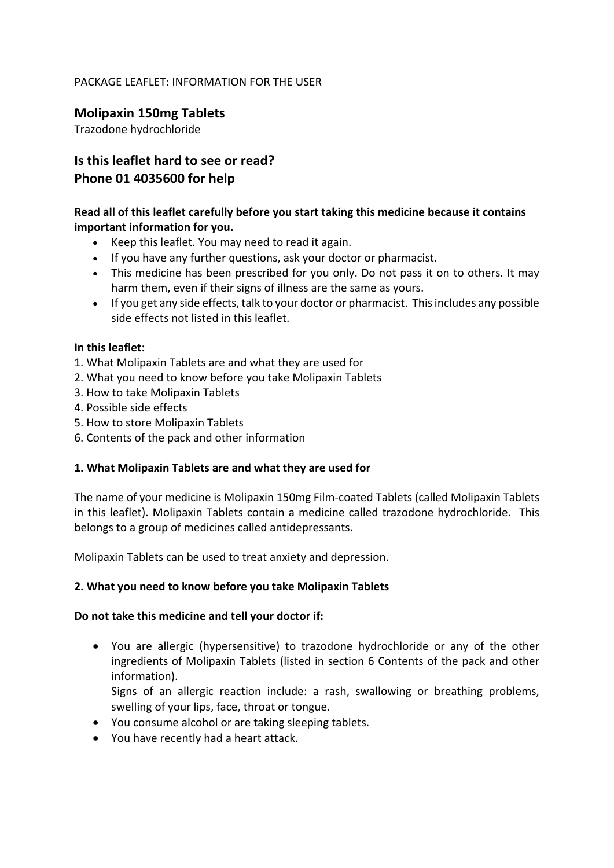## PACKAGE LEAFLET: INFORMATION FOR THE USER

# **Molipaxin 150mg Tablets**

Trazodone hydrochloride

# **Is this leaflet hard to see or read? Phone 01 4035600 for help**

# **Read all of this leaflet carefully before you start taking this medicine because it contains important information for you.**

- Keep this leaflet. You may need to read it again.
- If you have any further questions, ask your doctor or pharmacist.
- This medicine has been prescribed for you only. Do not pass it on to others. It may harm them, even if their signs of illness are the same as yours.
- If you get any side effects, talk to your doctor or pharmacist. This includes any possible side effects not listed in this leaflet.

### **In this leaflet:**

- 1. What Molipaxin Tablets are and what they are used for
- 2. What you need to know before you take Molipaxin Tablets
- 3. How to take Molipaxin Tablets
- 4. Possible side effects
- 5. How to store Molipaxin Tablets
- 6. Contents of the pack and other information

# **1. What Molipaxin Tablets are and what they are used for**

The name of your medicine is Molipaxin 150mg Film-coated Tablets (called Molipaxin Tablets in this leaflet). Molipaxin Tablets contain a medicine called trazodone hydrochloride. This belongs to a group of medicines called antidepressants.

Molipaxin Tablets can be used to treat anxiety and depression.

# **2. What you need to know before you take Molipaxin Tablets**

#### **Do not take this medicine and tell your doctor if:**

 You are allergic (hypersensitive) to trazodone hydrochloride or any of the other ingredients of Molipaxin Tablets (listed in section 6 Contents of the pack and other information).

Signs of an allergic reaction include: a rash, swallowing or breathing problems, swelling of your lips, face, throat or tongue.

- You consume alcohol or are taking sleeping tablets.
- You have recently had a heart attack.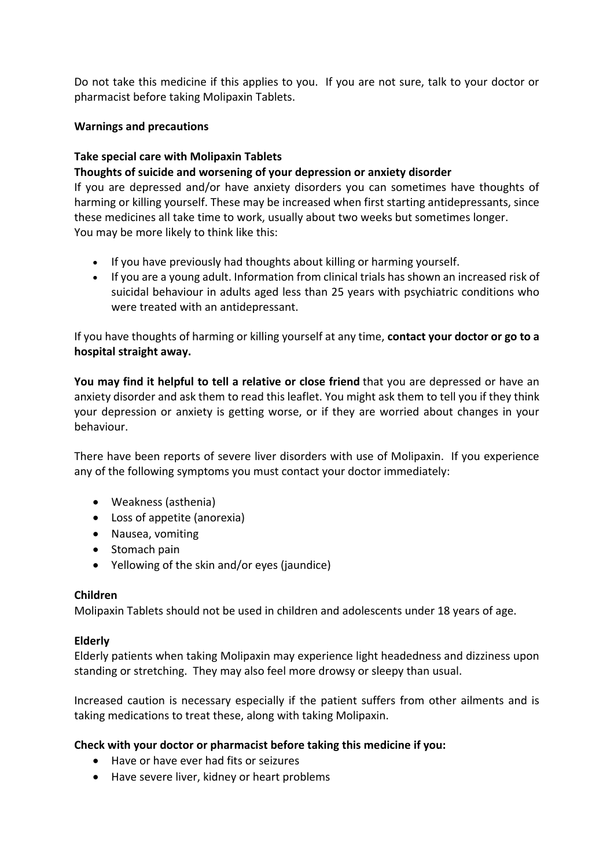Do not take this medicine if this applies to you. If you are not sure, talk to your doctor or pharmacist before taking Molipaxin Tablets.

## **Warnings and precautions**

## **Take special care with Molipaxin Tablets**

### **Thoughts of suicide and worsening of your depression or anxiety disorder**

If you are depressed and/or have anxiety disorders you can sometimes have thoughts of harming or killing yourself. These may be increased when first starting antidepressants, since these medicines all take time to work, usually about two weeks but sometimes longer. You may be more likely to think like this:

- If you have previously had thoughts about killing or harming yourself.
- If you are a young adult. Information from clinical trials has shown an increased risk of suicidal behaviour in adults aged less than 25 years with psychiatric conditions who were treated with an antidepressant.

If you have thoughts of harming or killing yourself at any time, **contact your doctor or go to a hospital straight away.**

**You may find it helpful to tell a relative or close friend** that you are depressed or have an anxiety disorder and ask them to read this leaflet. You might ask them to tell you if they think your depression or anxiety is getting worse, or if they are worried about changes in your behaviour.

There have been reports of severe liver disorders with use of Molipaxin. If you experience any of the following symptoms you must contact your doctor immediately:

- Weakness (asthenia)
- Loss of appetite (anorexia)
- Nausea, vomiting
- Stomach pain
- Yellowing of the skin and/or eyes (jaundice)

#### **Children**

Molipaxin Tablets should not be used in children and adolescents under 18 years of age.

#### **Elderly**

Elderly patients when taking Molipaxin may experience light headedness and dizziness upon standing or stretching. They may also feel more drowsy or sleepy than usual.

Increased caution is necessary especially if the patient suffers from other ailments and is taking medications to treat these, along with taking Molipaxin.

#### **Check with your doctor or pharmacist before taking this medicine if you:**

- Have or have ever had fits or seizures
- Have severe liver, kidney or heart problems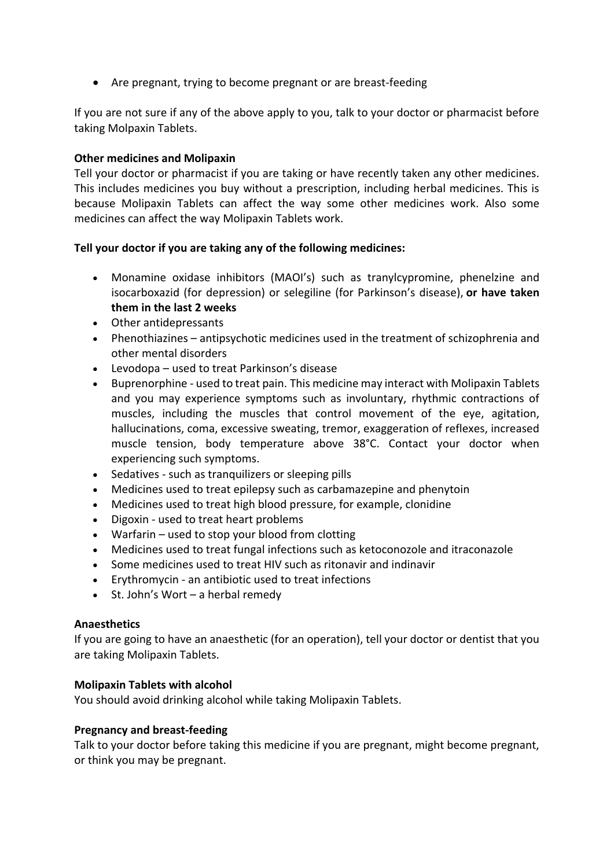Are pregnant, trying to become pregnant or are breast-feeding

If you are not sure if any of the above apply to you, talk to your doctor or pharmacist before taking Molpaxin Tablets.

## **Other medicines and Molipaxin**

Tell your doctor or pharmacist if you are taking or have recently taken any other medicines. This includes medicines you buy without a prescription, including herbal medicines. This is because Molipaxin Tablets can affect the way some other medicines work. Also some medicines can affect the way Molipaxin Tablets work.

### **Tell your doctor if you are taking any of the following medicines:**

- Monamine oxidase inhibitors (MAOI's) such as tranylcypromine, phenelzine and isocarboxazid (for depression) or selegiline (for Parkinson's disease), **or have taken them in the last 2 weeks**
- Other antidepressants
- Phenothiazines antipsychotic medicines used in the treatment of schizophrenia and other mental disorders
- Levodopa used to treat Parkinson's disease
- Buprenorphine used to treat pain. This medicine may interact with Molipaxin Tablets and you may experience symptoms such as involuntary, rhythmic contractions of muscles, including the muscles that control movement of the eye, agitation, hallucinations, coma, excessive sweating, tremor, exaggeration of reflexes, increased muscle tension, body temperature above 38°C. Contact your doctor when experiencing such symptoms.
- Sedatives such as tranquilizers or sleeping pills
- Medicines used to treat epilepsy such as carbamazepine and phenytoin
- Medicines used to treat high blood pressure, for example, clonidine
- Digoxin used to treat heart problems
- Warfarin used to stop your blood from clotting
- Medicines used to treat fungal infections such as ketoconozole and itraconazole
- Some medicines used to treat HIV such as ritonavir and indinavir
- Erythromycin an antibiotic used to treat infections
- $\bullet$  St. John's Wort a herbal remedy

#### **Anaesthetics**

If you are going to have an anaesthetic (for an operation), tell your doctor or dentist that you are taking Molipaxin Tablets.

#### **Molipaxin Tablets with alcohol**

You should avoid drinking alcohol while taking Molipaxin Tablets.

#### **Pregnancy and breast-feeding**

Talk to your doctor before taking this medicine if you are pregnant, might become pregnant, or think you may be pregnant.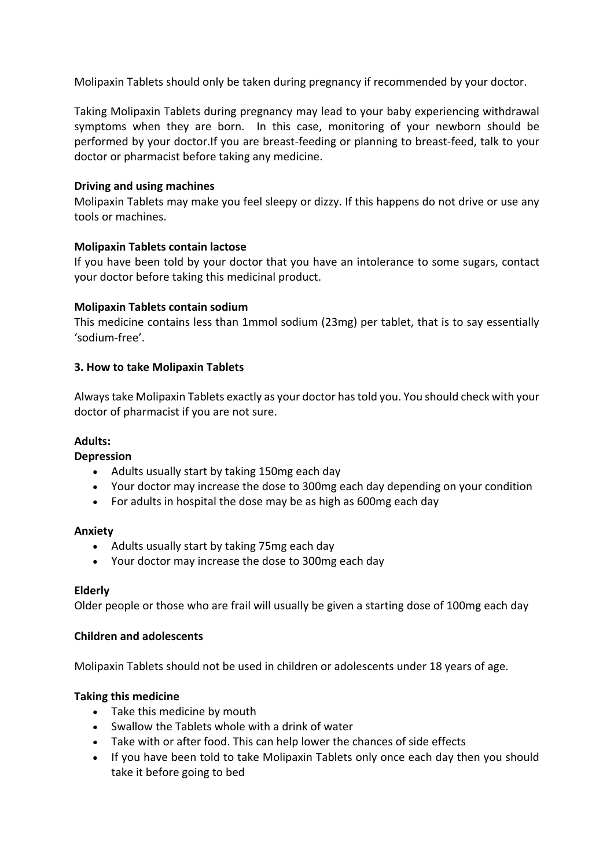Molipaxin Tablets should only be taken during pregnancy if recommended by your doctor.

Taking Molipaxin Tablets during pregnancy may lead to your baby experiencing withdrawal symptoms when they are born. In this case, monitoring of your newborn should be performed by your doctor.If you are breast-feeding or planning to breast-feed, talk to your doctor or pharmacist before taking any medicine.

### **Driving and using machines**

Molipaxin Tablets may make you feel sleepy or dizzy. If this happens do not drive or use any tools or machines.

### **Molipaxin Tablets contain lactose**

If you have been told by your doctor that you have an intolerance to some sugars, contact your doctor before taking this medicinal product.

### **Molipaxin Tablets contain sodium**

This medicine contains less than 1mmol sodium (23mg) per tablet, that is to say essentially 'sodium-free'.

### **3. How to take Molipaxin Tablets**

Always take Molipaxin Tablets exactly as your doctor has told you. You should check with your doctor of pharmacist if you are not sure.

#### **Adults:**

#### **Depression**

- Adults usually start by taking 150mg each day
- Your doctor may increase the dose to 300mg each day depending on your condition
- For adults in hospital the dose may be as high as 600mg each day

#### **Anxiety**

- Adults usually start by taking 75mg each day
- Your doctor may increase the dose to 300mg each day

#### **Elderly**

Older people or those who are frail will usually be given a starting dose of 100mg each day

#### **Children and adolescents**

Molipaxin Tablets should not be used in children or adolescents under 18 years of age.

# **Taking this medicine**

- Take this medicine by mouth
- Swallow the Tablets whole with a drink of water
- Take with or after food. This can help lower the chances of side effects
- If you have been told to take Molipaxin Tablets only once each day then you should take it before going to bed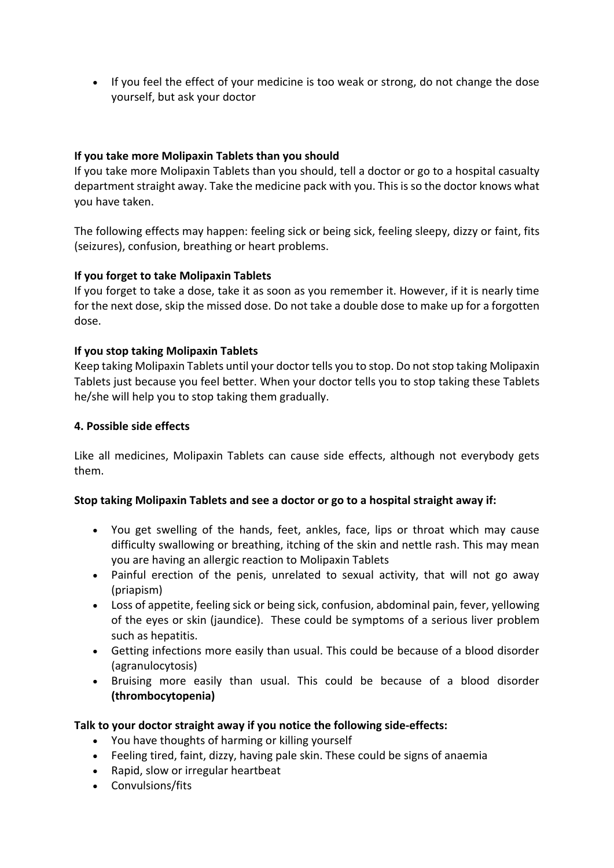• If you feel the effect of your medicine is too weak or strong, do not change the dose yourself, but ask your doctor

## **If you take more Molipaxin Tablets than you should**

If you take more Molipaxin Tablets than you should, tell a doctor or go to a hospital casualty department straight away. Take the medicine pack with you. This is so the doctor knows what you have taken.

The following effects may happen: feeling sick or being sick, feeling sleepy, dizzy or faint, fits (seizures), confusion, breathing or heart problems.

### **If you forget to take Molipaxin Tablets**

If you forget to take a dose, take it as soon as you remember it. However, if it is nearly time for the next dose, skip the missed dose. Do not take a double dose to make up for a forgotten dose.

### **If you stop taking Molipaxin Tablets**

Keep taking Molipaxin Tablets until your doctor tells you to stop. Do not stop taking Molipaxin Tablets just because you feel better. When your doctor tells you to stop taking these Tablets he/she will help you to stop taking them gradually.

#### **4. Possible side effects**

Like all medicines, Molipaxin Tablets can cause side effects, although not everybody gets them.

#### **Stop taking Molipaxin Tablets and see a doctor or go to a hospital straight away if:**

- You get swelling of the hands, feet, ankles, face, lips or throat which may cause difficulty swallowing or breathing, itching of the skin and nettle rash. This may mean you are having an allergic reaction to Molipaxin Tablets
- Painful erection of the penis, unrelated to sexual activity, that will not go away (priapism)
- Loss of appetite, feeling sick or being sick, confusion, abdominal pain, fever, yellowing of the eyes or skin (jaundice). These could be symptoms of a serious liver problem such as hepatitis.
- Getting infections more easily than usual. This could be because of a blood disorder (agranulocytosis)
- Bruising more easily than usual. This could be because of a blood disorder **(thrombocytopenia)**

#### **Talk to your doctor straight away if you notice the following side-effects:**

- You have thoughts of harming or killing yourself
- Feeling tired, faint, dizzy, having pale skin. These could be signs of anaemia
- Rapid, slow or irregular heartbeat
- Convulsions/fits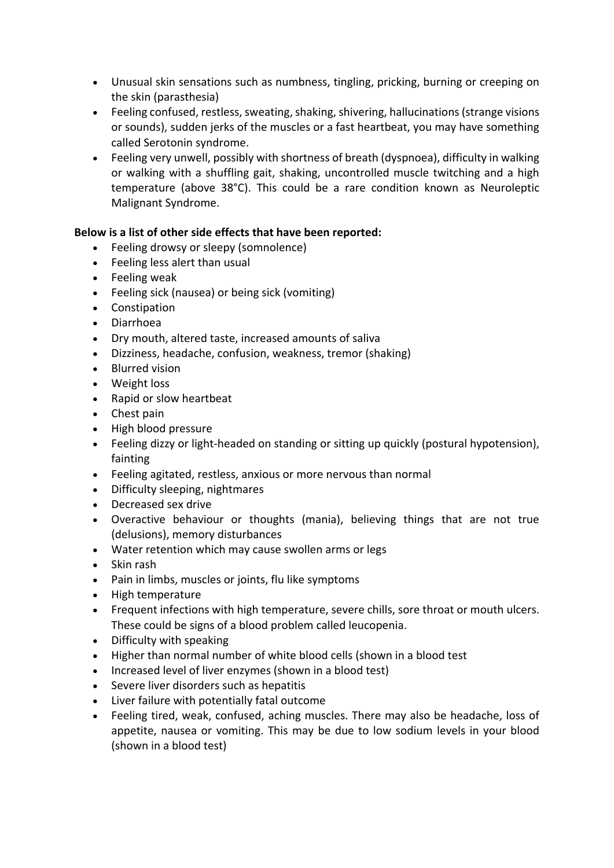- Unusual skin sensations such as numbness, tingling, pricking, burning or creeping on the skin (parasthesia)
- Feeling confused, restless, sweating, shaking, shivering, hallucinations (strange visions or sounds), sudden jerks of the muscles or a fast heartbeat, you may have something called Serotonin syndrome.
- Feeling very unwell, possibly with shortness of breath (dyspnoea), difficulty in walking or walking with a shuffling gait, shaking, uncontrolled muscle twitching and a high temperature (above 38°C). This could be a rare condition known as Neuroleptic Malignant Syndrome.

# **Below is a list of other side effects that have been reported:**

- Feeling drowsy or sleepy (somnolence)
- Feeling less alert than usual
- Feeling weak
- Feeling sick (nausea) or being sick (vomiting)
- Constipation
- Diarrhoea
- Dry mouth, altered taste, increased amounts of saliva
- Dizziness, headache, confusion, weakness, tremor (shaking)
- Blurred vision
- Weight loss
- Rapid or slow heartbeat
- Chest pain
- High blood pressure
- Feeling dizzy or light-headed on standing or sitting up quickly (postural hypotension), fainting
- Feeling agitated, restless, anxious or more nervous than normal
- Difficulty sleeping, nightmares
- Decreased sex drive
- Overactive behaviour or thoughts (mania), believing things that are not true (delusions), memory disturbances
- Water retention which may cause swollen arms or legs
- Skin rash
- Pain in limbs, muscles or joints, flu like symptoms
- High temperature
- Frequent infections with high temperature, severe chills, sore throat or mouth ulcers. These could be signs of a blood problem called leucopenia.
- Difficulty with speaking
- Higher than normal number of white blood cells (shown in a blood test
- Increased level of liver enzymes (shown in a blood test)
- Severe liver disorders such as hepatitis
- Liver failure with potentially fatal outcome
- Feeling tired, weak, confused, aching muscles. There may also be headache, loss of appetite, nausea or vomiting. This may be due to low sodium levels in your blood (shown in a blood test)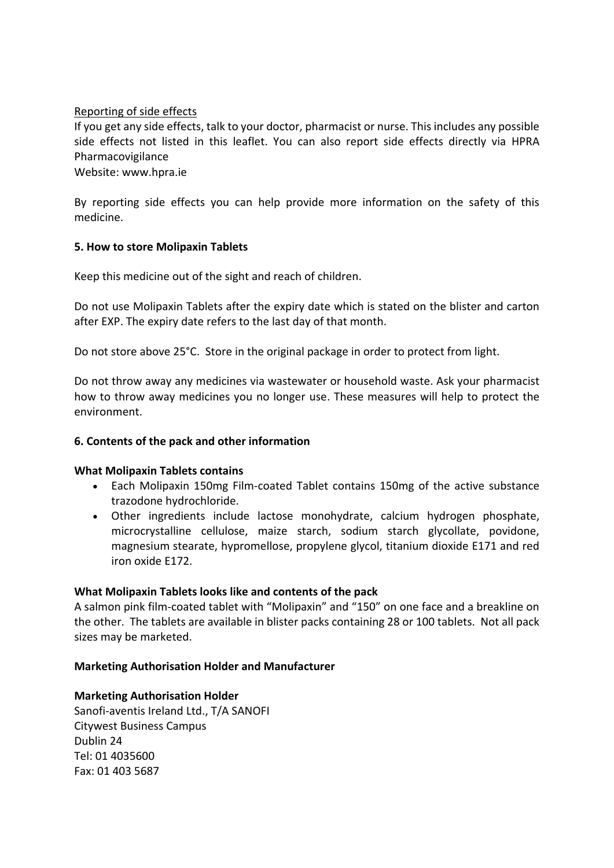## Reporting of side effects

If you get any side effects, talk to your doctor, pharmacist or nurse. This includes any possible side effects not listed in this leaflet. You can also report side effects directly via HPRA Pharmacovigilance

Website: www.hpra.ie

By reporting side effects you can help provide more information on the safety of this medicine.

### **5. How to store Molipaxin Tablets**

Keep this medicine out of the sight and reach of children.

Do not use Molipaxin Tablets after the expiry date which is stated on the blister and carton after EXP. The expiry date refers to the last day of that month.

Do not store above 25°C. Store in the original package in order to protect from light.

Do not throw away any medicines via wastewater or household waste. Ask your pharmacist how to throw away medicines you no longer use. These measures will help to protect the environment.

#### **6. Contents of the pack and other information**

#### **What Molipaxin Tablets contains**

- Each Molipaxin 150mg Film-coated Tablet contains 150mg of the active substance trazodone hydrochloride.
- Other ingredients include lactose monohydrate, calcium hydrogen phosphate, microcrystalline cellulose, maize starch, sodium starch glycollate, povidone, magnesium stearate, hypromellose, propylene glycol, titanium dioxide E171 and red iron oxide E172.

#### **What Molipaxin Tablets looks like and contents of the pack**

A salmon pink film-coated tablet with "Molipaxin" and "150" on one face and a breakline on the other. The tablets are available in blister packs containing 28 or 100 tablets. Not all pack sizes may be marketed.

# **Marketing Authorisation Holder and Manufacturer**

**Marketing Authorisation Holder** Sanofi-aventis Ireland Ltd., T/A SANOFI Citywest Business Campus Dublin 24 Tel: 01 4035600 Fax: 01 403 5687